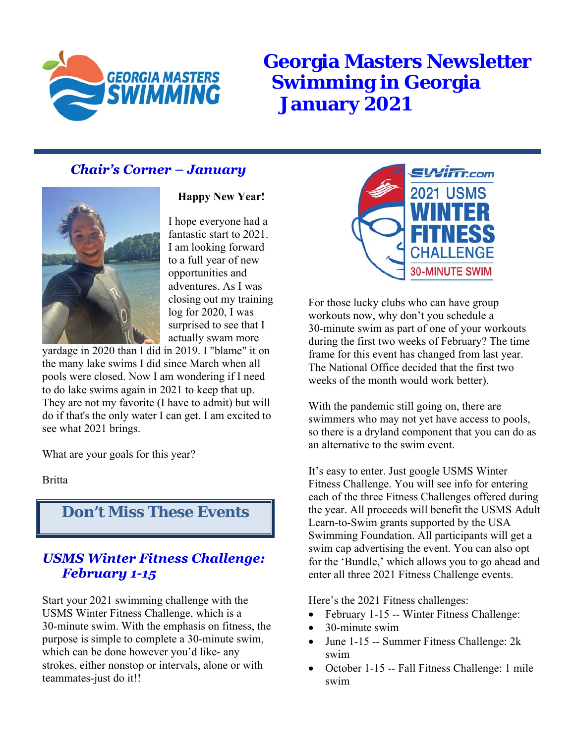

**Georgia Masters Newsletter Swimming in Georgia January 2021**

### **Chair's Corner - January**



**Happy New Year!** 

I hope everyone had a fantastic start to 2021. I am looking forward to a full year of new opportunities and adventures. As I was closing out my training log for 2020, I was surprised to see that I actually swam more

yardage in 2020 than I did in 2019. I "blame" it on the many lake swims I did since March when all pools were closed. Now I am wondering if I need to do lake swims again in 2021 to keep that up. They are not my favorite (I have to admit) but will do if that's the only water I can get. I am excited to see what 2021 brings.

What are your goals for this year?

Britta

# **Don't Miss These Events**

#### **USMS Winter Fitness Challenge: February 1-15**

Start your 2021 swimming challenge with the USMS Winter Fitness Challenge, which is a 30-minute swim. With the emphasis on fitness, the purpose is simple to complete a 30-minute swim, which can be done however you'd like- any strokes, either nonstop or intervals, alone or with teammates-just do it!!



For those lucky clubs who can have group workouts now, why don't you schedule a 30-minute swim as part of one of your workouts during the first two weeks of February? The time frame for this event has changed from last year. The National Office decided that the first two weeks of the month would work better).

With the pandemic still going on, there are swimmers who may not yet have access to pools, so there is a dryland component that you can do as an alternative to the swim event.

It's easy to enter. Just google USMS Winter Fitness Challenge. You will see info for entering each of the three Fitness Challenges offered during the year. All proceeds will benefit the USMS Adult Learn-to-Swim grants supported by the USA Swimming Foundation. All participants will get a swim cap advertising the event. You can also opt for the 'Bundle,' which allows you to go ahead and enter all three 2021 Fitness Challenge events.

Here's the 2021 Fitness challenges:

- February 1-15 -- Winter Fitness Challenge:
- 30-minute swim
- June 1-15 -- Summer Fitness Challenge: 2k swim
- October 1-15 -- Fall Fitness Challenge: 1 mile swim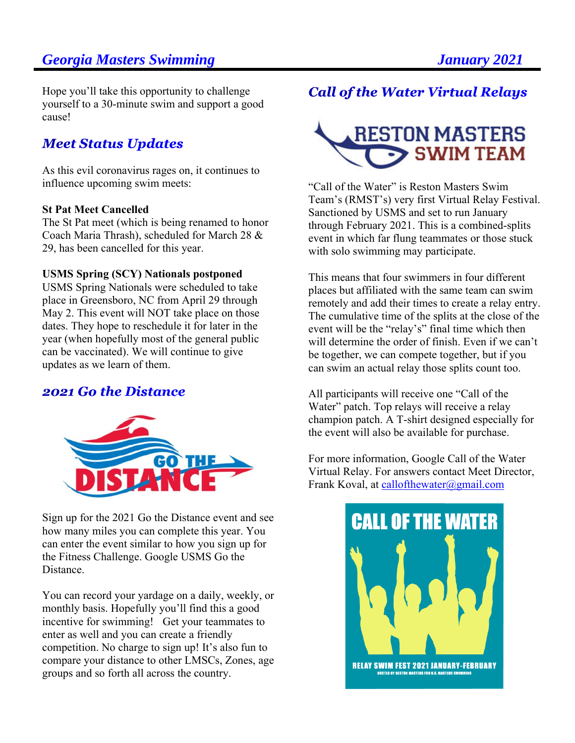Hope you'll take this opportunity to challenge yourself to a 30-minute swim and support a good cause!

## **Meet Status Updates**

As this evil coronavirus rages on, it continues to influence upcoming swim meets:

#### **St Pat Meet Cancelled**

The St Pat meet (which is being renamed to honor Coach Maria Thrash), scheduled for March 28 & 29, has been cancelled for this year.

#### **USMS Spring (SCY) Nationals postponed**

USMS Spring Nationals were scheduled to take place in Greensboro, NC from April 29 through May 2. This event will NOT take place on those dates. They hope to reschedule it for later in the year (when hopefully most of the general public can be vaccinated). We will continue to give updates as we learn of them.

#### **2021 Go the Distance**



Sign up for the 2021 Go the Distance event and see how many miles you can complete this year. You can enter the event similar to how you sign up for the Fitness Challenge. Google USMS Go the Distance.

You can record your yardage on a daily, weekly, or monthly basis. Hopefully you'll find this a good incentive for swimming! Get your teammates to enter as well and you can create a friendly competition. No charge to sign up! It's also fun to compare your distance to other LMSCs, Zones, age groups and so forth all across the country.

## **Call of the Water Virtual Relays**



"Call of the Water" is Reston Masters Swim Team's (RMST's) very first Virtual Relay Festival. Sanctioned by USMS and set to run January through February 2021. This is a combined-splits event in which far flung teammates or those stuck with solo swimming may participate.

This means that four swimmers in four different places but affiliated with the same team can swim remotely and add their times to create a relay entry. The cumulative time of the splits at the close of the event will be the "relay's" final time which then will determine the order of finish. Even if we can't be together, we can compete together, but if you can swim an actual relay those splits count too.

All participants will receive one "Call of the Water" patch. Top relays will receive a relay champion patch. A T-shirt designed especially for the event will also be available for purchase.

For more information, Google Call of the Water Virtual Relay. For answers contact Meet Director, Frank Koval, at callofthewater@gmail.com

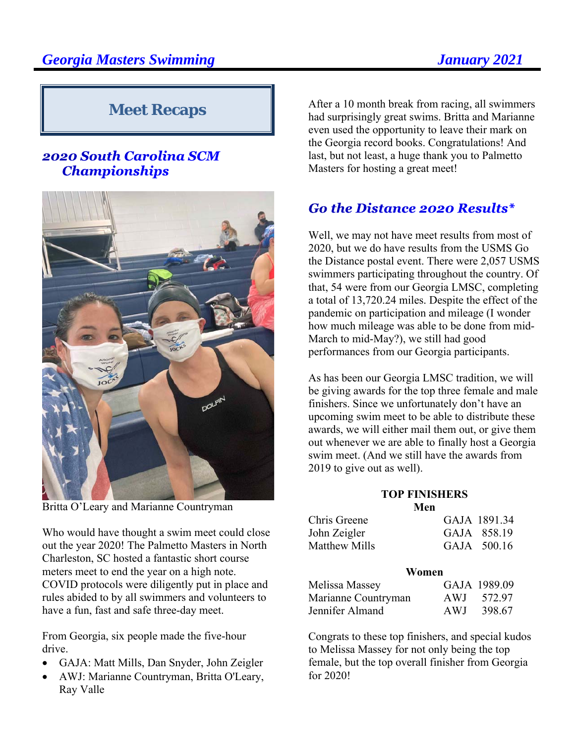# **Meet Recaps**

#### 2020 South Carolina SCM **Championships**



Britta O'Leary and Marianne Countryman

Who would have thought a swim meet could close out the year 2020! The Palmetto Masters in North Charleston, SC hosted a fantastic short course meters meet to end the year on a high note. COVID protocols were diligently put in place and rules abided to by all swimmers and volunteers to have a fun, fast and safe three-day meet.

From Georgia, six people made the five-hour drive.

- GAJA: Matt Mills, Dan Snyder, John Zeigler
- AWJ: Marianne Countryman, Britta O'Leary, Ray Valle

After a 10 month break from racing, all swimmers had surprisingly great swims. Britta and Marianne even used the opportunity to leave their mark on the Georgia record books. Congratulations! And last, but not least, a huge thank you to Palmetto Masters for hosting a great meet!

# **Go the Distance 2020 Results\***

Well, we may not have meet results from most of 2020, but we do have results from the USMS Go the Distance postal event. There were 2,057 USMS swimmers participating throughout the country. Of that, 54 were from our Georgia LMSC, completing a total of 13,720.24 miles. Despite the effect of the pandemic on participation and mileage (I wonder how much mileage was able to be done from mid-March to mid-May?), we still had good performances from our Georgia participants.

As has been our Georgia LMSC tradition, we will be giving awards for the top three female and male finishers. Since we unfortunately don't have an upcoming swim meet to be able to distribute these awards, we will either mail them out, or give them out whenever we are able to finally host a Georgia swim meet. (And we still have the awards from 2019 to give out as well).

#### **TOP FINISHERS**   $M_{\rm{on}}$

|               | RULL |              |
|---------------|------|--------------|
| Chris Greene  |      | GAJA 1891.34 |
| John Zeigler  |      | GAJA 858.19  |
| Matthew Mills |      | GAJA 500.16  |

| Women               |      |              |
|---------------------|------|--------------|
| Melissa Massey      |      | GAJA 1989.09 |
| Marianne Countryman | AWJ. | 572.97       |
| Jennifer Almand     | AWJ  | 398.67       |

Congrats to these top finishers, and special kudos to Melissa Massey for not only being the top female, but the top overall finisher from Georgia for 2020!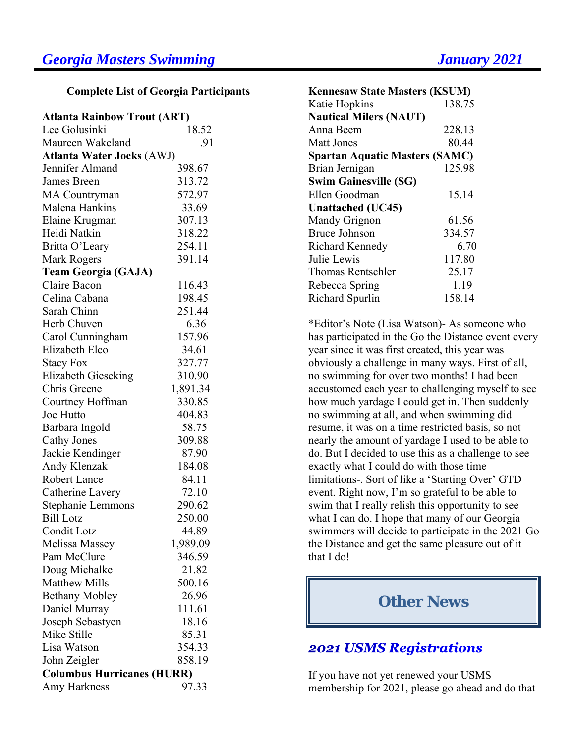**Complete List of Georgia Participants** 

| <b>Atlanta Rainbow Trout (ART)</b> |  |  |
|------------------------------------|--|--|
|------------------------------------|--|--|

| Lee Golusinki                     | 18.52    |  |  |  |
|-----------------------------------|----------|--|--|--|
| Maureen Wakeland                  | .91      |  |  |  |
| <b>Atlanta Water Jocks (AWJ)</b>  |          |  |  |  |
| Jennifer Almand                   | 398.67   |  |  |  |
| James Breen                       | 313.72   |  |  |  |
| <b>MA</b> Countryman              | 572.97   |  |  |  |
| Malena Hankins                    | 33.69    |  |  |  |
| Elaine Krugman                    | 307.13   |  |  |  |
| Heidi Natkin                      | 318.22   |  |  |  |
| Britta O'Leary                    | 254.11   |  |  |  |
| Mark Rogers                       | 391.14   |  |  |  |
| <b>Team Georgia (GAJA)</b>        |          |  |  |  |
| Claire Bacon                      | 116.43   |  |  |  |
| Celina Cabana                     | 198.45   |  |  |  |
| Sarah Chinn                       | 251.44   |  |  |  |
| Herb Chuven                       | 6.36     |  |  |  |
| Carol Cunningham                  | 157.96   |  |  |  |
| Elizabeth Elco                    | 34.61    |  |  |  |
| <b>Stacy Fox</b>                  | 327.77   |  |  |  |
| <b>Elizabeth Gieseking</b>        | 310.90   |  |  |  |
| Chris Greene                      | 1,891.34 |  |  |  |
| Courtney Hoffman                  | 330.85   |  |  |  |
| Joe Hutto                         | 404.83   |  |  |  |
| Barbara Ingold                    | 58.75    |  |  |  |
| <b>Cathy Jones</b>                | 309.88   |  |  |  |
| Jackie Kendinger                  | 87.90    |  |  |  |
| Andy Klenzak                      | 184.08   |  |  |  |
| Robert Lance                      | 84.11    |  |  |  |
| Catherine Lavery                  | 72.10    |  |  |  |
| Stephanie Lemmons                 | 290.62   |  |  |  |
| <b>Bill Lotz</b>                  | 250.00   |  |  |  |
| Condit Lotz                       | 44.89    |  |  |  |
| Melissa Massey                    | 1,989.09 |  |  |  |
| Pam McClure                       | 346.59   |  |  |  |
| Doug Michalke                     | 21.82    |  |  |  |
| <b>Matthew Mills</b>              | 500.16   |  |  |  |
| <b>Bethany Mobley</b>             | 26.96    |  |  |  |
| Daniel Murray                     | 111.61   |  |  |  |
| Joseph Sebastyen                  | 18.16    |  |  |  |
| Mike Stille                       | 85.31    |  |  |  |
| Lisa Watson                       | 354.33   |  |  |  |
| John Zeigler                      | 858.19   |  |  |  |
| <b>Columbus Hurricanes (HURR)</b> |          |  |  |  |
| Amy Harkness                      | 97.33    |  |  |  |

| <b>Kennesaw State Masters (KSUM)</b>  |        |  |  |  |
|---------------------------------------|--------|--|--|--|
| Katie Hopkins                         | 138.75 |  |  |  |
| <b>Nautical Milers (NAUT)</b>         |        |  |  |  |
| Anna Beem                             | 228.13 |  |  |  |
| Matt Jones                            | 80.44  |  |  |  |
| <b>Spartan Aquatic Masters (SAMC)</b> |        |  |  |  |
| Brian Jernigan                        | 125.98 |  |  |  |
| <b>Swim Gainesville (SG)</b>          |        |  |  |  |
| Ellen Goodman                         | 15.14  |  |  |  |
| <b>Unattached</b> (UC45)              |        |  |  |  |
| Mandy Grignon                         | 61.56  |  |  |  |
| <b>Bruce Johnson</b>                  | 334.57 |  |  |  |
| <b>Richard Kennedy</b>                | 6.70   |  |  |  |
| Julie Lewis                           | 117.80 |  |  |  |
| <b>Thomas Rentschler</b>              | 25.17  |  |  |  |
| Rebecca Spring                        | 1.19   |  |  |  |
| Richard Spurlin                       | 158.14 |  |  |  |

\*Editor's Note (Lisa Watson)- As someone who has participated in the Go the Distance event every year since it was first created, this year was obviously a challenge in many ways. First of all, no swimming for over two months! I had been accustomed each year to challenging myself to see how much yardage I could get in. Then suddenly no swimming at all, and when swimming did resume, it was on a time restricted basis, so not nearly the amount of yardage I used to be able to do. But I decided to use this as a challenge to see exactly what I could do with those time limitations-. Sort of like a 'Starting Over' GTD event. Right now, I'm so grateful to be able to swim that I really relish this opportunity to see what I can do. I hope that many of our Georgia swimmers will decide to participate in the 2021 Go the Distance and get the same pleasure out of it that I do!

### **Other News**

#### **2021 USMS Registrations**

If you have not yet renewed your USMS membership for 2021, please go ahead and do that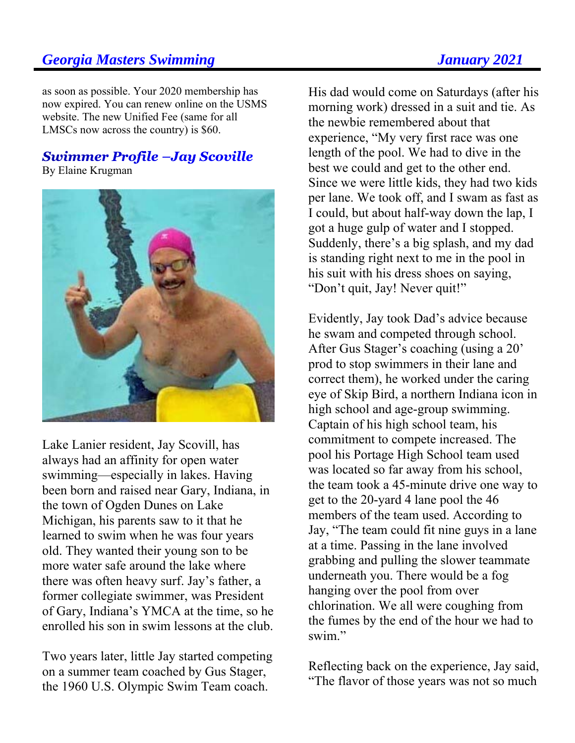as soon as possible. Your 2020 membership has now expired. You can renew online on the USMS website. The new Unified Fee (same for all LMSCs now across the country) is \$60.

# **Swimmer Profile -Jay Scoville**

By Elaine Krugman



Lake Lanier resident, Jay Scovill, has always had an affinity for open water swimming—especially in lakes. Having been born and raised near Gary, Indiana, in the town of Ogden Dunes on Lake Michigan, his parents saw to it that he learned to swim when he was four years old. They wanted their young son to be more water safe around the lake where there was often heavy surf. Jay's father, a former collegiate swimmer, was President of Gary, Indiana's YMCA at the time, so he enrolled his son in swim lessons at the club.

Two years later, little Jay started competing on a summer team coached by Gus Stager, the 1960 U.S. Olympic Swim Team coach.

His dad would come on Saturdays (after his morning work) dressed in a suit and tie. As the newbie remembered about that experience, "My very first race was one length of the pool. We had to dive in the best we could and get to the other end. Since we were little kids, they had two kids per lane. We took off, and I swam as fast as I could, but about half-way down the lap, I got a huge gulp of water and I stopped. Suddenly, there's a big splash, and my dad is standing right next to me in the pool in his suit with his dress shoes on saying, "Don't quit, Jay! Never quit!"

Evidently, Jay took Dad's advice because he swam and competed through school. After Gus Stager's coaching (using a 20' prod to stop swimmers in their lane and correct them), he worked under the caring eye of Skip Bird, a northern Indiana icon in high school and age-group swimming. Captain of his high school team, his commitment to compete increased. The pool his Portage High School team used was located so far away from his school, the team took a 45-minute drive one way to get to the 20-yard 4 lane pool the 46 members of the team used. According to Jay, "The team could fit nine guys in a lane at a time. Passing in the lane involved grabbing and pulling the slower teammate underneath you. There would be a fog hanging over the pool from over chlorination. We all were coughing from the fumes by the end of the hour we had to swim."

Reflecting back on the experience, Jay said, "The flavor of those years was not so much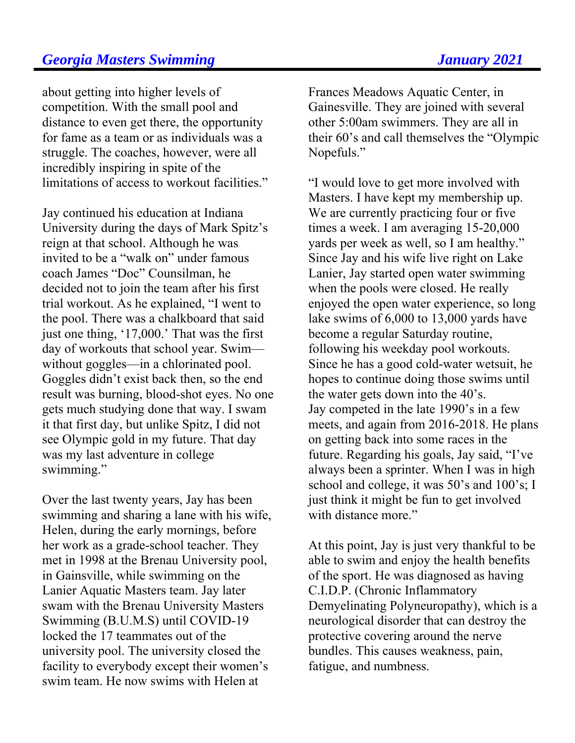about getting into higher levels of competition. With the small pool and distance to even get there, the opportunity for fame as a team or as individuals was a struggle. The coaches, however, were all incredibly inspiring in spite of the limitations of access to workout facilities."

Jay continued his education at Indiana University during the days of Mark Spitz's reign at that school. Although he was invited to be a "walk on" under famous coach James "Doc" Counsilman, he decided not to join the team after his first trial workout. As he explained, "I went to the pool. There was a chalkboard that said just one thing, '17,000.' That was the first day of workouts that school year. Swim without goggles—in a chlorinated pool. Goggles didn't exist back then, so the end result was burning, blood-shot eyes. No one gets much studying done that way. I swam it that first day, but unlike Spitz, I did not see Olympic gold in my future. That day was my last adventure in college swimming."

Over the last twenty years, Jay has been swimming and sharing a lane with his wife, Helen, during the early mornings, before her work as a grade-school teacher. They met in 1998 at the Brenau University pool, in Gainsville, while swimming on the Lanier Aquatic Masters team. Jay later swam with the Brenau University Masters Swimming (B.U.M.S) until COVID-19 locked the 17 teammates out of the university pool. The university closed the facility to everybody except their women's swim team. He now swims with Helen at

Frances Meadows Aquatic Center, in Gainesville. They are joined with several other 5:00am swimmers. They are all in their 60's and call themselves the "Olympic Nopefuls."

"I would love to get more involved with Masters. I have kept my membership up. We are currently practicing four or five times a week. I am averaging 15-20,000 yards per week as well, so I am healthy." Since Jay and his wife live right on Lake Lanier, Jay started open water swimming when the pools were closed. He really enjoyed the open water experience, so long lake swims of 6,000 to 13,000 yards have become a regular Saturday routine, following his weekday pool workouts. Since he has a good cold-water wetsuit, he hopes to continue doing those swims until the water gets down into the 40's. Jay competed in the late 1990's in a few meets, and again from 2016-2018. He plans on getting back into some races in the future. Regarding his goals, Jay said, "I've always been a sprinter. When I was in high school and college, it was 50's and 100's; I just think it might be fun to get involved with distance more."

At this point, Jay is just very thankful to be able to swim and enjoy the health benefits of the sport. He was diagnosed as having C.I.D.P. (Chronic Inflammatory Demyelinating Polyneuropathy), which is a neurological disorder that can destroy the protective covering around the nerve bundles. This causes weakness, pain, fatigue, and numbness.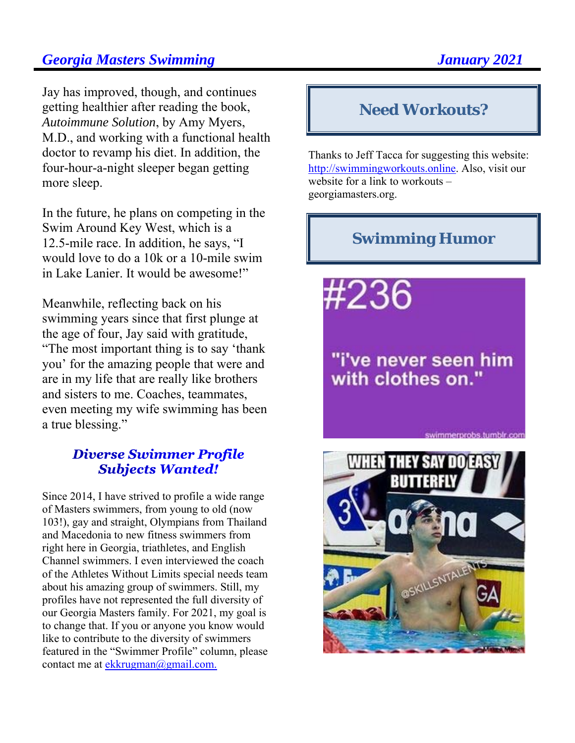Jay has improved, though, and continues getting healthier after reading the book, *Autoimmune Solution*, by Amy Myers, M.D., and working with a functional health doctor to revamp his diet. In addition, the four-hour-a-night sleeper began getting more sleep.

In the future, he plans on competing in the Swim Around Key West, which is a 12.5-mile race. In addition, he says, "I would love to do a 10k or a 10-mile swim in Lake Lanier. It would be awesome!"

Meanwhile, reflecting back on his swimming years since that first plunge at the age of four, Jay said with gratitude, "The most important thing is to say 'thank you' for the amazing people that were and are in my life that are really like brothers and sisters to me. Coaches, teammates, even meeting my wife swimming has been a true blessing."

#### **Diverse Swimmer Profile Subjects Wanted!**

Since 2014, I have strived to profile a wide range of Masters swimmers, from young to old (now 103!), gay and straight, Olympians from Thailand and Macedonia to new fitness swimmers from right here in Georgia, triathletes, and English Channel swimmers. I even interviewed the coach of the Athletes Without Limits special needs team about his amazing group of swimmers. Still, my profiles have not represented the full diversity of our Georgia Masters family. For 2021, my goal is to change that. If you or anyone you know would like to contribute to the diversity of swimmers featured in the "Swimmer Profile" column, please contact me at ekkrugman@gmail.com.

#### **Need Workouts?**

Thanks to Jeff Tacca for suggesting this website: http://swimmingworkouts.online. Also, visit our website for a link to workouts – georgiamasters.org.

### **Swimming Humor**

#236

# "i've never seen him with clothes on."

swimmerprobs.tumblr.com

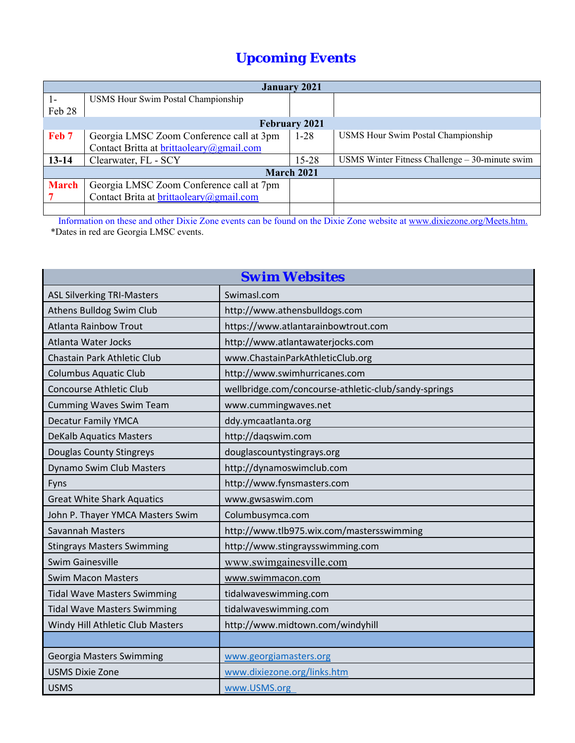# *Upcoming Events*

| <b>January 2021</b>  |                                          |          |                                                  |  |  |  |
|----------------------|------------------------------------------|----------|--------------------------------------------------|--|--|--|
| $1-$                 | USMS Hour Swim Postal Championship       |          |                                                  |  |  |  |
| Feb 28               |                                          |          |                                                  |  |  |  |
| <b>February 2021</b> |                                          |          |                                                  |  |  |  |
| Feb 7                | Georgia LMSC Zoom Conference call at 3pm | $1 - 28$ | <b>USMS Hour Swim Postal Championship</b>        |  |  |  |
|                      | Contact Britta at brittaoleary@gmail.com |          |                                                  |  |  |  |
| $13 - 14$            | Clearwater, FL - SCY                     | 15-28    | USMS Winter Fitness Challenge $-30$ -minute swim |  |  |  |
| <b>March 2021</b>    |                                          |          |                                                  |  |  |  |
| <b>March</b>         | Georgia LMSC Zoom Conference call at 7pm |          |                                                  |  |  |  |
|                      | Contact Brita at brittaoleary@gmail.com  |          |                                                  |  |  |  |
|                      |                                          |          |                                                  |  |  |  |

 Information on these and other Dixie Zone events can be found on the Dixie Zone website at www.dixiezone.org/Meets.htm. \*Dates in red are Georgia LMSC events.

|                                    | <b>Swim Websites</b>                                 |
|------------------------------------|------------------------------------------------------|
| <b>ASL Silverking TRI-Masters</b>  | Swimasl.com                                          |
| Athens Bulldog Swim Club           | http://www.athensbulldogs.com                        |
| <b>Atlanta Rainbow Trout</b>       | https://www.atlantarainbowtrout.com                  |
| Atlanta Water Jocks                | http://www.atlantawaterjocks.com                     |
| Chastain Park Athletic Club        | www.ChastainParkAthleticClub.org                     |
| <b>Columbus Aquatic Club</b>       | http://www.swimhurricanes.com                        |
| <b>Concourse Athletic Club</b>     | wellbridge.com/concourse-athletic-club/sandy-springs |
| <b>Cumming Waves Swim Team</b>     | www.cummingwaves.net                                 |
| <b>Decatur Family YMCA</b>         | ddy.ymcaatlanta.org                                  |
| <b>DeKalb Aquatics Masters</b>     | http://daqswim.com                                   |
| <b>Douglas County Stingreys</b>    | douglascountystingrays.org                           |
| Dynamo Swim Club Masters           | http://dynamoswimclub.com                            |
| Fyns                               | http://www.fynsmasters.com                           |
| <b>Great White Shark Aquatics</b>  | www.gwsaswim.com                                     |
| John P. Thayer YMCA Masters Swim   | Columbusymca.com                                     |
| Savannah Masters                   | http://www.tlb975.wix.com/mastersswimming            |
| <b>Stingrays Masters Swimming</b>  | http://www.stingraysswimming.com                     |
| <b>Swim Gainesville</b>            | www.swimgainesville.com                              |
| <b>Swim Macon Masters</b>          | www.swimmacon.com                                    |
| <b>Tidal Wave Masters Swimming</b> | tidalwaveswimming.com                                |
| <b>Tidal Wave Masters Swimming</b> | tidalwaveswimming.com                                |
| Windy Hill Athletic Club Masters   | http://www.midtown.com/windyhill                     |
|                                    |                                                      |
| Georgia Masters Swimming           | www.georgiamasters.org                               |
| <b>USMS Dixie Zone</b>             | www.dixiezone.org/links.htm                          |
| <b>USMS</b>                        | www.USMS.org                                         |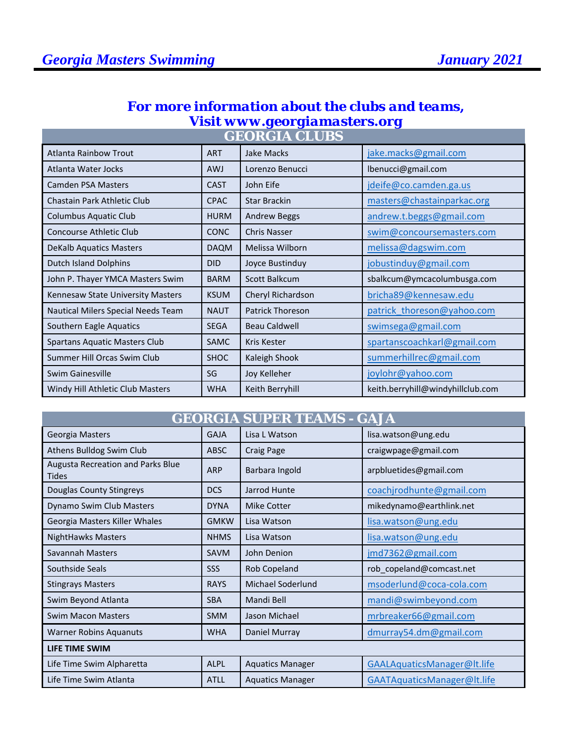# *For more information about the clubs and teams, Visit www.georgiamasters.org*

| <b>GEORGIA CLUBS</b>                 |             |                         |                                   |
|--------------------------------------|-------------|-------------------------|-----------------------------------|
| <b>Atlanta Rainbow Trout</b>         | <b>ART</b>  | Jake Macks              | jake.macks@gmail.com              |
| Atlanta Water Jocks                  | <b>AWJ</b>  | Lorenzo Benucci         | lbenucci@gmail.com                |
| Camden PSA Masters                   | <b>CAST</b> | John Eife               | jdeife@co.camden.ga.us            |
| Chastain Park Athletic Club          | <b>CPAC</b> | <b>Star Brackin</b>     | masters@chastainparkac.org        |
| <b>Columbus Aquatic Club</b>         | <b>HURM</b> | <b>Andrew Beggs</b>     | andrew.t.beggs@gmail.com          |
| Concourse Athletic Club              | <b>CONC</b> | <b>Chris Nasser</b>     | swim@concoursemasters.com         |
| <b>DeKalb Aquatics Masters</b>       | <b>DAQM</b> | Melissa Wilborn         | melissa@dagswim.com               |
| Dutch Island Dolphins                | <b>DID</b>  | Joyce Bustinduy         | jobustinduy@gmail.com             |
| John P. Thayer YMCA Masters Swim     | <b>BARM</b> | Scott Balkcum           | sbalkcum@ymcacolumbusga.com       |
| Kennesaw State University Masters    | <b>KSUM</b> | Cheryl Richardson       | bricha89@kennesaw.edu             |
| Nautical Milers Special Needs Team   | <b>NAUT</b> | <b>Patrick Thoreson</b> | patrick_thoreson@yahoo.com        |
| Southern Eagle Aquatics              | <b>SEGA</b> | <b>Beau Caldwell</b>    | swimsega@gmail.com                |
| <b>Spartans Aquatic Masters Club</b> | <b>SAMC</b> | Kris Kester             | spartanscoachkarl@gmail.com       |
| Summer Hill Orcas Swim Club          | <b>SHOC</b> | Kaleigh Shook           | summerhillrec@gmail.com           |
| Swim Gainesville                     | SG          | Joy Kelleher            | joylohr@yahoo.com                 |
| Windy Hill Athletic Club Masters     | <b>WHA</b>  | Keith Berryhill         | keith.berryhill@windyhillclub.com |

|                                                   |             | <u> GEORGIA SUPER TEAMS - GAJA</u> |                             |  |
|---------------------------------------------------|-------------|------------------------------------|-----------------------------|--|
| Georgia Masters                                   | <b>GAJA</b> | Lisa L Watson                      | lisa.watson@ung.edu         |  |
| Athens Bulldog Swim Club                          | <b>ABSC</b> | <b>Craig Page</b>                  | craigwpage@gmail.com        |  |
| Augusta Recreation and Parks Blue<br><b>Tides</b> | <b>ARP</b>  | Barbara Ingold                     | arpbluetides@gmail.com      |  |
| Douglas County Stingreys                          | <b>DCS</b>  | Jarrod Hunte                       | coachjrodhunte@gmail.com    |  |
| Dynamo Swim Club Masters                          | <b>DYNA</b> | <b>Mike Cotter</b>                 | mikedynamo@earthlink.net    |  |
| Georgia Masters Killer Whales                     | <b>GMKW</b> | Lisa Watson                        | lisa.watson@ung.edu         |  |
| <b>NightHawks Masters</b>                         | <b>NHMS</b> | Lisa Watson                        | lisa.watson@ung.edu         |  |
| Savannah Masters                                  | <b>SAVM</b> | John Denion                        | jmd7362@gmail.com           |  |
| Southside Seals                                   | SSS         | Rob Copeland                       | rob_copeland@comcast.net    |  |
| <b>Stingrays Masters</b>                          | <b>RAYS</b> | Michael Soderlund                  | msoderlund@coca-cola.com    |  |
| Swim Beyond Atlanta                               | <b>SBA</b>  | Mandi Bell                         | mandi@swimbeyond.com        |  |
| <b>Swim Macon Masters</b>                         | <b>SMM</b>  | Jason Michael                      | mrbreaker66@gmail.com       |  |
| <b>Warner Robins Aquanuts</b>                     | <b>WHA</b>  | Daniel Murray                      | dmurray54.dm@gmail.com      |  |
| <b>LIFE TIME SWIM</b>                             |             |                                    |                             |  |
| Life Time Swim Alpharetta                         | <b>ALPL</b> | <b>Aquatics Manager</b>            | GAALAquaticsManager@lt.life |  |
| Life Time Swim Atlanta                            | <b>ATLL</b> | <b>Aquatics Manager</b>            | GAATAquaticsManager@lt.life |  |